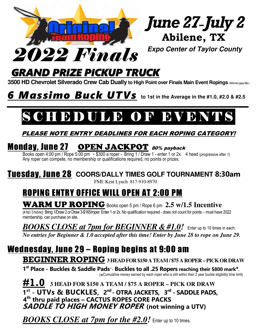

# *GRAND PRIZE PICKUP TRUCK*

 **3500 HD Chevrolet Silverado Crew Cab Dually to High Point over Finals Main Event Ropings. Winner pays tt&l.)** 

#### $\overline{\phantom{a}}$ **6** Massimo Buck UTVs to 1st in the Average in the #1.0, #2.0 & #2.5

### l S CHIBDULEE OR BVBNTS

#### PLEASE NOTE ENTRY DEADLINES FOR EACH ROPING CATEGORY!

## **Monday, June 27 OPEN JACKPOT** 80% payback

Books open 4:00 pm / Rope 5:00 pm - \$300 a roper - Bring 1 / Draw 1 - enter 1 or 2x. 4 head (progressive after 1) Any roper can compete, no membership or qualifications required, no points or prizes.

## Tuesday, June 28 **COORS/DALLY TIMES GOLF TOURNAMENT 8:30am**

FMI: Kent Lynch 817-910-8970

## ROPING ENTRY OFFICE WILL OPEN AT 2:00 PM

WARM UP ROPING Books open 5 pm / Rope 6 pm **2.5 w/1.5 Incentive**

(4 hd / 3 hd inc) Bring 1/Draw 2 or Draw 3-\$165/roper. Enter 1 or 2x. No qualification required - does not count for points – must have 2022 membership, can purchase on site.

*BOOKS CLOSE at 7pm for BEGINNER & #1.0!* Enter up to 10 times in each.

*No entries for Beginner & 1.0 accepted after this time! Enter by June 28 to rope on June 29.* 

# Wednesday, June 29 – Roping begins at 9:00 am

**BEGINNER ROPING 3 HEAD FOR \$150 A TEAM / \$75 A ROPER – PICK OR DRAW**

**1 st Place - Buckles & Saddle Pads°- Buckles to all .25 Ropers reaching their \$800 mark\*.**  (**\*** Cumulative money earned by each roper who is still within their 2 year buckle eligibility time limit)

**#1.0 3 HEAD FOR \$150 A TEAM / \$75 A ROPER – PICK OR DRAW 1 st - UTVs & BUCKLES, 2nd - OTRA JACKETS, 3rd - SADDLE PADS, 4th thru paid places – CACTUS ROPES CORE PACKS SADDLE TO HIGH MONEY ROPER (not winning a UTV)** 

*BOOKS CLOSE at 7pm for the #2.0!* Enter up to 10 times.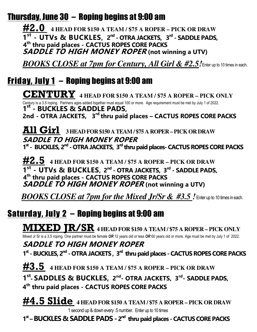## Thursday, June 30 – Roping begins at 9:00 am

**#2.0 4 HEAD FOR \$150 A TEAM / \$75 A ROPER – PICK OR DRAW 1 st - UTVs & BUCKLES, 2nd - OTRA JACKETS, 3rd - SADDLE PADS, 4th thru paid places - CACTUS ROPES CORE PACKS SADDLE TO HIGH MONEY ROPER (not winning a UTV)** 

*BOOKS CLOSE at 7pm for Century, All Girl & #2.5!*Enter up to 10 times in each.

## Friday, July 1 – Roping begins at 9:00 am

**CENTURY 4 HEAD FOR \$150 A TEAM / \$75 A ROPER – PICK ONLY** Century is a 3.5 roping. Partners ages added together must equal 100 or more. Age requirement must be met by July 1 of 2022. **1 st - BUCKLES & SADDLE PADS, 2nd - OTRA JACKETS, 3rd thru paid places – CACTUS ROPES CORE PACKS** 

**All Girl 3 HEAD FOR \$150 A TEAM / \$75 A ROPER – PICK OR DRAW SADDLE TO HIGH MONEY ROPER 1st - BUCKLES, 2nd - OTRA JACKETS, 3rd thru paid places- CACTUS ROPES CORE PACKS** 

**#2.5 4 HEAD FOR \$150 A TEAM / \$75 A ROPER – PICK OR DRAW 1 st - UTVs & BUCKLES, 2nd - OTRA JACKETS, 3rd - SADDLE PADS, 4th thru paid places - CACTUS ROPES CORE PACKS SADDLE TO HIGH MONEY ROPER** (not winning a UTV)

*BOOKS CLOSE at 7pm for the Mixed Jr/Sr & #3.5 !* Enter up to 10 times in each.

## Saturday, July 2 – Roping begins at 9:00 am

**MIXED JR/SR 4 HEAD FOR \$150 A TEAM / \$75 A ROPER – PICK ONLY**  Mixed Jr Sr is a 3.5 roping. One partner must be female *OR* 12 years old or less *OR* 60 years old or more. Age must be met by July 1 of 2022.

 **SADDLE TO HIGH MONEY ROPER 1 st - BUCKLES, 2nd - OTRA JACKETS , 3rd thru paid places - CACTUS ROPES CORE PACKS** 

**#3.5 4 HEAD FOR \$150 A TEAM / \$75 A ROPER – PICK OR DRAW 1 st** - **SADDLES & BUCKLES, 2nd- OTRA JACKETS, 3rd- SADDLE PADS, 4th thru paid places - CACTUS ROPES CORE PACKS** 

**#4.5 Slide 4 HEAD FOR \$150 A TEAM / \$75 A ROPER – PICK OR DRAW**  1 second up & down every .5 number. Enter up to 10 times

 **1st – BUCKLES & SADDLE PADS - 2nd thru paid places - CACTUS CORE PACKS**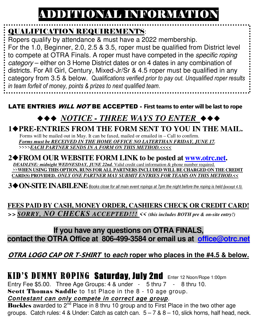# ADDITIONAL INFORMATION

## QUALIFICATION REQUIREMENTS:

Ropers qualify by attendance & must have a 2022 membership. For the 1.0, Beginner, 2.0, 2.5 & 3.5, roper must be qualified from District level to compete at OTRA Finals. A roper must have competed in the specific roping category – either on 3 Home District dates or on 4 dates in any combination of districts. For All Girl, Century, Mixed-Jr/Sr & 4.5 roper must be qualified in any category from 3.5 & below. Q*ualifications verified prior to pay out. Unqualified roper results in team forfeit of money, points & prizes to next qualified team*.

#### LATE ENTRIES WILL NOT BE ACCEPTED - **First teams to enter will be last to rope**

# ◆◆◆ NOTICE - THREE WAYS TO ENTER<sub></sub> ◆◆◆

 **1PRE-ENTRIES FROM THE FORM SENT TO YOU IN THE MAIL.**  Forms will be mailed out in May. It can be faxed, mailed or emailed in – Call to confirm. *Forms must be RECEIVED IN THE HOME OFFICE NO LATERTHAN FRIDAY, JUNE 17.* >>>>*EACH PARTNER SENDS IN A FORM ON THIS METHOD.<<<<*

#### **2FROM OUR WEBSITE FORM LINK to be posted at www.otrc.net.**  *DEADLINE: midnight WEDNESDAY, JUNE 22nd.* Valid credit card information & phone number required. >>**WHEN USING THIS OPTION, RUNS FOR ALL PARTNERS INCLUDED WILL BE CHARGED ON THE CREDIT CARD(S) PROVIDED.** *ONLY ONE PARTNER MAY SUBMIT ENTRIES FOR TEAMS ON THIS METHOD.<<*

 **3ON-SITE INABILENE***Books close for all main event ropings at 7pm the night before the roping is held (except 4.5).*

**FEES PAID BY CASH, MONEY ORDER, CASHIERS CHECK OR CREDIT CARD!**  >> *SORRY, NO CHECKS ACCEPTED!!! << (this includes BOTH pre & on-site entry!)*

### **If you have any questions on OTRA FINALS, contact the OTRA Office at 806-499-3584 or email us at office@otrc.net**

### **OTRA LOGO CAP OR T-SHIRT to each roper who places in the #4.5 & below.**

## KID'S DUMMY ROPINGSaturday, July 2ndEnter 12 Noon/Rope 1:00pm

Entry Fee \$5.00. Three Age Groups: 4 & under - 5 thru 7 - 8 thru 10. Scott Thomas Saddle to 1st Place in the 8 - 10 age group.

**Contestant can only compete in correct age group**.

**Buckles** awarded to 2<sup>nd</sup> Place in 8 thru 10 group and to First Place in the two other age groups. Catch rules: 4 & Under: Catch as catch can.  $5 - 7$  &  $8 - 10$ . slick horns, half head, neck.